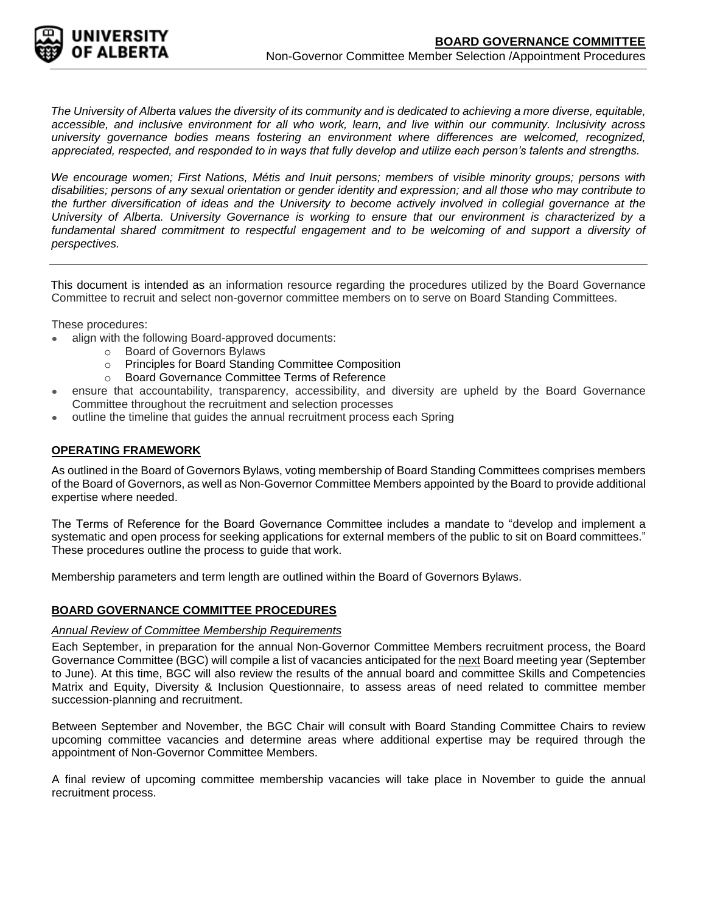

*The University of Alberta values the diversity of its community and is dedicated to achieving a more diverse, equitable, accessible, and inclusive environment for all who work, learn, and live within our community. Inclusivity across university governance bodies means fostering an environment where differences are welcomed, recognized, appreciated, respected, and responded to in ways that fully develop and utilize each person's talents and strengths.*

*We encourage women; First Nations, Métis and Inuit persons; members of visible minority groups; persons with disabilities; persons of any sexual orientation or gender identity and expression; and all those who may contribute to the further diversification of ideas and the University to become actively involved in collegial governance at the University of Alberta. University Governance is working to ensure that our environment is characterized by a*  fundamental shared commitment to respectful engagement and to be welcoming of and support a diversity of *perspectives.*

This document is intended as an information resource regarding the procedures utilized by the Board Governance Committee to recruit and select non-governor committee members on to serve on Board Standing Committees.

These procedures:

- align with the following Board-approved documents:
	- o Board of Governors Bylaws
	- o Principles for Board Standing Committee Composition
	- o Board Governance Committee Terms of Reference
- ensure that accountability, transparency, accessibility, and diversity are upheld by the Board Governance Committee throughout the recruitment and selection processes
- outline the timeline that guides the annual recruitment process each Spring

## **OPERATING FRAMEWORK**

As outlined in the Board of Governors Bylaws, voting membership of Board Standing Committees comprises members of the Board of Governors, as well as Non-Governor Committee Members appointed by the Board to provide additional expertise where needed.

The Terms of Reference for the Board Governance Committee includes a mandate to "develop and implement a systematic and open process for seeking applications for external members of the public to sit on Board committees." These procedures outline the process to guide that work.

Membership parameters and term length are outlined within the Board of Governors Bylaws.

## **BOARD GOVERNANCE COMMITTEE PROCEDURES**

#### *Annual Review of Committee Membership Requirements*

Each September, in preparation for the annual Non-Governor Committee Members recruitment process, the Board Governance Committee (BGC) will compile a list of vacancies anticipated for the next Board meeting year (September to June). At this time, BGC will also review the results of the annual board and committee Skills and Competencies Matrix and Equity, Diversity & Inclusion Questionnaire, to assess areas of need related to committee member succession-planning and recruitment.

Between September and November, the BGC Chair will consult with Board Standing Committee Chairs to review upcoming committee vacancies and determine areas where additional expertise may be required through the appointment of Non-Governor Committee Members.

A final review of upcoming committee membership vacancies will take place in November to guide the annual recruitment process.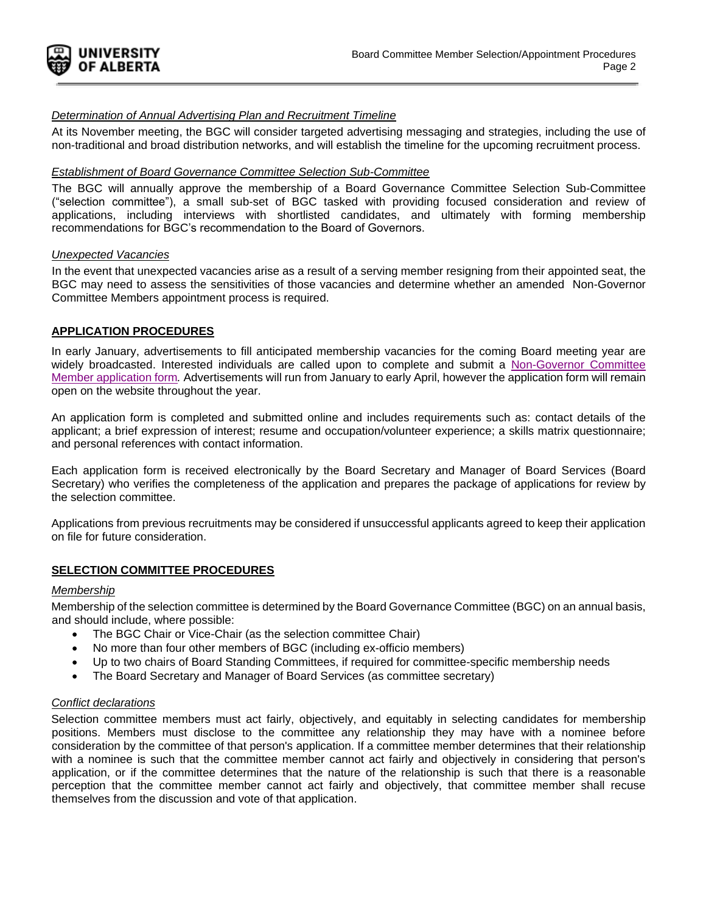

## *Determination of Annual Advertising Plan and Recruitment Timeline*

At its November meeting, the BGC will consider targeted advertising messaging and strategies, including the use of non-traditional and broad distribution networks, and will establish the timeline for the upcoming recruitment process.

### *Establishment of Board Governance Committee Selection Sub-Committee*

The BGC will annually approve the membership of a Board Governance Committee Selection Sub-Committee ("selection committee"), a small sub-set of BGC tasked with providing focused consideration and review of applications, including interviews with shortlisted candidates, and ultimately with forming membership recommendations for BGC's recommendation to the Board of Governors.

#### *Unexpected Vacancies*

In the event that unexpected vacancies arise as a result of a serving member resigning from their appointed seat, the BGC may need to assess the sensitivities of those vacancies and determine whether an amended Non-Governor Committee Members appointment process is required.

## **APPLICATION PROCEDURES**

In early January, advertisements to fill anticipated membership vacancies for the coming Board meeting year are widely broadcasted. Interested individuals are called upon to complete and submit a [Non-Governor Committee](https://docs.google.com/forms/d/e/1FAIpQLScIsbAlP41jX22C83uiIrAEetxfn3mx5vxTTI25DUT7BvuNbQ/viewform) Member [application form](https://docs.google.com/forms/d/e/1FAIpQLScIsbAlP41jX22C83uiIrAEetxfn3mx5vxTTI25DUT7BvuNbQ/viewform)*.* Advertisements will run from January to early April, however the application form will remain open on the website throughout the year.

An application form is completed and submitted online and includes requirements such as: contact details of the applicant; a brief expression of interest; resume and occupation/volunteer experience; a skills matrix questionnaire; and personal references with contact information.

Each application form is received electronically by the Board Secretary and Manager of Board Services (Board Secretary) who verifies the completeness of the application and prepares the package of applications for review by the selection committee.

Applications from previous recruitments may be considered if unsuccessful applicants agreed to keep their application on file for future consideration.

## **SELECTION COMMITTEE PROCEDURES**

# *Membership*

Membership of the selection committee is determined by the Board Governance Committee (BGC) on an annual basis, and should include, where possible:

- The BGC Chair or Vice-Chair (as the selection committee Chair)
- No more than four other members of BGC (including ex-officio members)
- Up to two chairs of Board Standing Committees, if required for committee-specific membership needs
- The Board Secretary and Manager of Board Services (as committee secretary)

#### *Conflict declarations*

Selection committee members must act fairly, objectively, and equitably in selecting candidates for membership positions. Members must disclose to the committee any relationship they may have with a nominee before consideration by the committee of that person's application. If a committee member determines that their relationship with a nominee is such that the committee member cannot act fairly and objectively in considering that person's application, or if the committee determines that the nature of the relationship is such that there is a reasonable perception that the committee member cannot act fairly and objectively, that committee member shall recuse themselves from the discussion and vote of that application.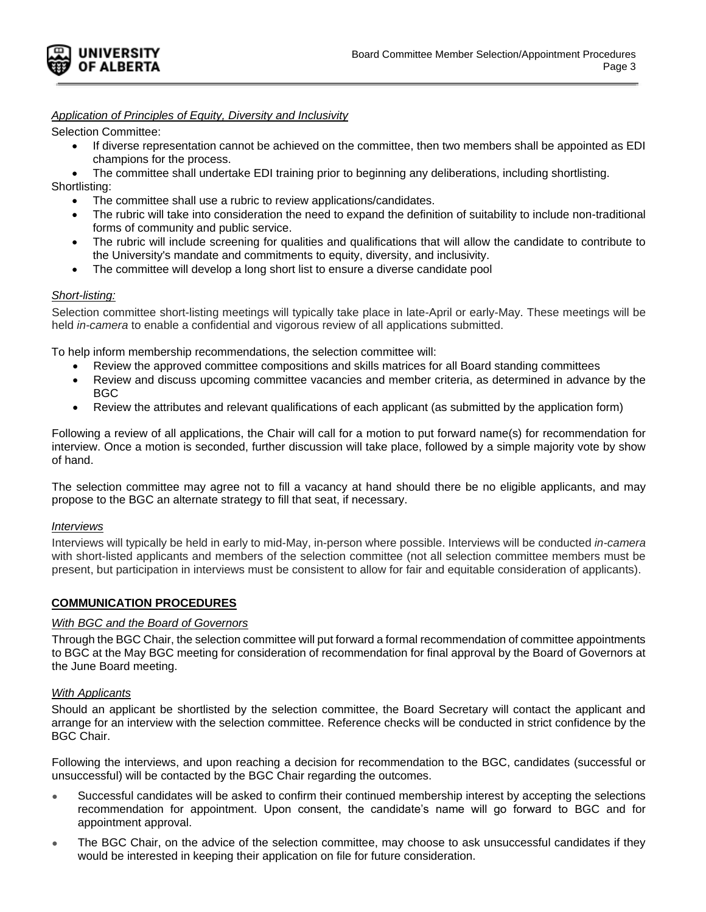

# *Application of Principles of Equity, Diversity and Inclusivity*

Selection Committee:

- If diverse representation cannot be achieved on the committee, then two members shall be appointed as EDI champions for the process.
- The committee shall undertake EDI training prior to beginning any deliberations, including shortlisting.

Shortlisting:

- The committee shall use a rubric to review applications/candidates.
- The rubric will take into consideration the need to expand the definition of suitability to include non-traditional forms of community and public service.
- The rubric will include screening for qualities and qualifications that will allow the candidate to contribute to the University's mandate and commitments to equity, diversity, and inclusivity.
- The committee will develop a long short list to ensure a diverse candidate pool

## *Short-listing:*

Selection committee short-listing meetings will typically take place in late-April or early-May. These meetings will be held *in-camera* to enable a confidential and vigorous review of all applications submitted.

To help inform membership recommendations, the selection committee will:

- Review the approved committee compositions and skills matrices for all Board standing committees
- Review and discuss upcoming committee vacancies and member criteria, as determined in advance by the BGC
- Review the attributes and relevant qualifications of each applicant (as submitted by the application form)

Following a review of all applications, the Chair will call for a motion to put forward name(s) for recommendation for interview. Once a motion is seconded, further discussion will take place, followed by a simple majority vote by show of hand.

The selection committee may agree not to fill a vacancy at hand should there be no eligible applicants, and may propose to the BGC an alternate strategy to fill that seat, if necessary.

## *Interviews*

Interviews will typically be held in early to mid-May, in-person where possible. Interviews will be conducted *in-camera*  with short-listed applicants and members of the selection committee (not all selection committee members must be present, but participation in interviews must be consistent to allow for fair and equitable consideration of applicants).

# **COMMUNICATION PROCEDURES**

## *With BGC and the Board of Governors*

Through the BGC Chair, the selection committee will put forward a formal recommendation of committee appointments to BGC at the May BGC meeting for consideration of recommendation for final approval by the Board of Governors at the June Board meeting.

# *With Applicants*

Should an applicant be shortlisted by the selection committee, the Board Secretary will contact the applicant and arrange for an interview with the selection committee. Reference checks will be conducted in strict confidence by the BGC Chair.

Following the interviews, and upon reaching a decision for recommendation to the BGC, candidates (successful or unsuccessful) will be contacted by the BGC Chair regarding the outcomes.

- Successful candidates will be asked to confirm their continued membership interest by accepting the selections recommendation for appointment. Upon consent, the candidate's name will go forward to BGC and for appointment approval.
- The BGC Chair, on the advice of the selection committee, may choose to ask unsuccessful candidates if they would be interested in keeping their application on file for future consideration.